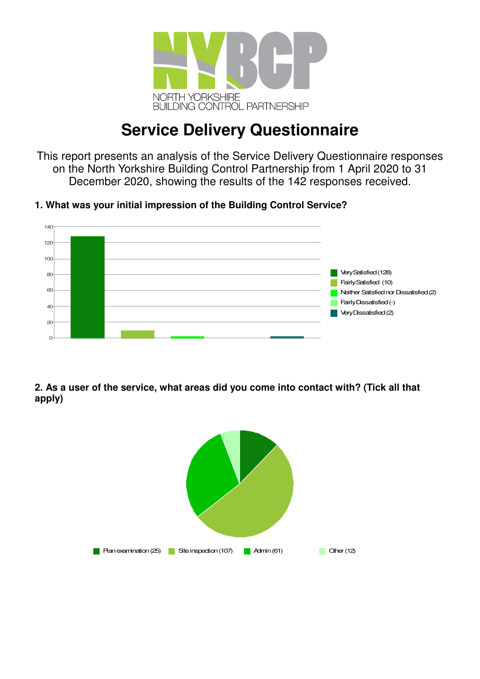

# **Service Delivery Questionnaire**

This report presents an analysis of the Service Delivery Questionnaire responses on the North Yorkshire Building Control Partnership from 1 April 2020 to 31 December 2020, showing the results of the 142 responses received.

**1. What was your initial impression of the Building Control Service?**



**2. As a user of the service, what areas did you come into contact with? (Tick all that apply)**

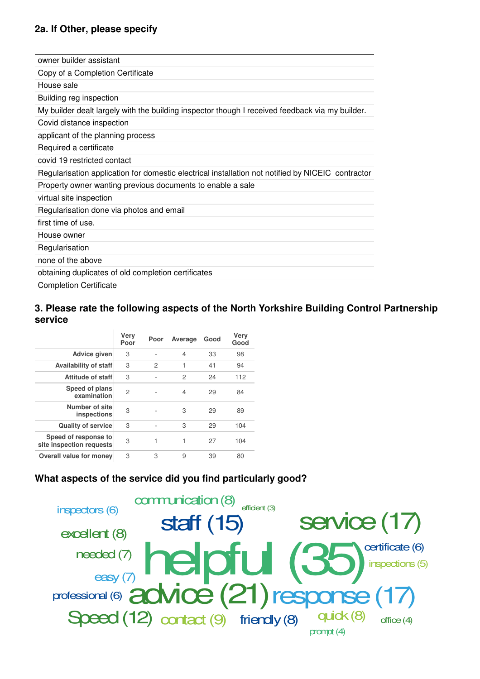### **2a. If Other, please specify**

| owner builder assistant                                                                           |
|---------------------------------------------------------------------------------------------------|
| Copy of a Completion Certificate                                                                  |
| House sale                                                                                        |
| Building reg inspection                                                                           |
| My builder dealt largely with the building inspector though I received feedback via my builder.   |
| Covid distance inspection                                                                         |
| applicant of the planning process                                                                 |
| Required a certificate                                                                            |
| covid 19 restricted contact                                                                       |
| Regularisation application for domestic electrical installation not notified by NICEIC contractor |
| Property owner wanting previous documents to enable a sale                                        |
| virtual site inspection                                                                           |
| Regularisation done via photos and email                                                          |
| first time of use.                                                                                |
| House owner                                                                                       |
| Regularisation                                                                                    |
| none of the above                                                                                 |
| obtaining duplicates of old completion certificates                                               |
| <b>Completion Certificate</b>                                                                     |

#### **3. Please rate the following aspects of the North Yorkshire Building Control Partnership service**

|                                                  | Very<br>Poor | Poor           | Average        | Good | Very<br>Good |
|--------------------------------------------------|--------------|----------------|----------------|------|--------------|
| <b>Advice given</b>                              | 3            |                | $\overline{4}$ | 33   | 98           |
| Availability of staff                            | 3            | $\overline{c}$ | 1              | 41   | 94           |
| <b>Attitude of staff</b>                         | 3            | ٠              | 2              | 24   | 112          |
| Speed of plans<br>examination                    | 2            |                | 4              | 29   | 84           |
| Number of site<br>inspections                    | 3            |                | 3              | 29   | 89           |
| <b>Quality of service</b>                        | 3            |                | 3              | 29   | 104          |
| Speed of response to<br>site inspection requests | 3            | 1              | 1              | 27   | 104          |
| <b>Overall value for money</b>                   | 3            | 3              | 9              | 39   | 80           |

### **What aspects of the service did you find particularly good?**

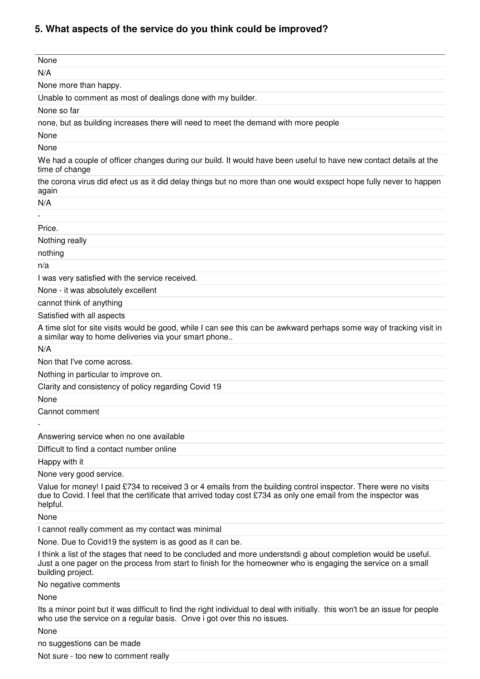# **5. What aspects of the service do you think could be improved?**

| None                                                                                                                                                                                                                                                 |
|------------------------------------------------------------------------------------------------------------------------------------------------------------------------------------------------------------------------------------------------------|
| N/A                                                                                                                                                                                                                                                  |
| None more than happy.                                                                                                                                                                                                                                |
| Unable to comment as most of dealings done with my builder.                                                                                                                                                                                          |
| None so far                                                                                                                                                                                                                                          |
| none, but as building increases there will need to meet the demand with more people                                                                                                                                                                  |
| None                                                                                                                                                                                                                                                 |
| None                                                                                                                                                                                                                                                 |
| We had a couple of officer changes during our build. It would have been useful to have new contact details at the<br>time of change                                                                                                                  |
| the corona virus did efect us as it did delay things but no more than one would exspect hope fully never to happen<br>again                                                                                                                          |
| N/A                                                                                                                                                                                                                                                  |
|                                                                                                                                                                                                                                                      |
| Price.                                                                                                                                                                                                                                               |
| Nothing really                                                                                                                                                                                                                                       |
| nothing                                                                                                                                                                                                                                              |
| n/a                                                                                                                                                                                                                                                  |
| I was very satisfied with the service received.                                                                                                                                                                                                      |
| None - it was absolutely excellent                                                                                                                                                                                                                   |
| cannot think of anything                                                                                                                                                                                                                             |
| Satisfied with all aspects                                                                                                                                                                                                                           |
| A time slot for site visits would be good, while I can see this can be awkward perhaps some way of tracking visit in<br>a similar way to home deliveries via your smart phone                                                                        |
| N/A                                                                                                                                                                                                                                                  |
| Non that I've come across.                                                                                                                                                                                                                           |
| Nothing in particular to improve on.                                                                                                                                                                                                                 |
| Clarity and consistency of policy regarding Covid 19                                                                                                                                                                                                 |
| None                                                                                                                                                                                                                                                 |
| Cannot comment                                                                                                                                                                                                                                       |
|                                                                                                                                                                                                                                                      |
| Answering service when no one available                                                                                                                                                                                                              |
| Difficult to find a contact number online                                                                                                                                                                                                            |
| Happy with it                                                                                                                                                                                                                                        |
| None very good service.                                                                                                                                                                                                                              |
| Value for money! I paid £734 to received 3 or 4 emails from the building control inspector. There were no visits<br>due to Covid. I feel that the certificate that arrived today cost £734 as only one email from the inspector was<br>helpful.      |
| None                                                                                                                                                                                                                                                 |
| I cannot really comment as my contact was minimal                                                                                                                                                                                                    |
| None. Due to Covid19 the system is as good as it can be.                                                                                                                                                                                             |
| I think a list of the stages that need to be concluded and more understsndig about completion would be useful.<br>Just a one pager on the process from start to finish for the homeowner who is engaging the service on a small<br>building project. |
| No negative comments                                                                                                                                                                                                                                 |
| None                                                                                                                                                                                                                                                 |
| Its a minor point but it was difficult to find the right individual to deal with initially. this won't be an issue for people<br>who use the service on a regular basis. Onve i got over this no issues.                                             |
| None                                                                                                                                                                                                                                                 |
| no suggestions can be made                                                                                                                                                                                                                           |
| Not sure - too new to comment really                                                                                                                                                                                                                 |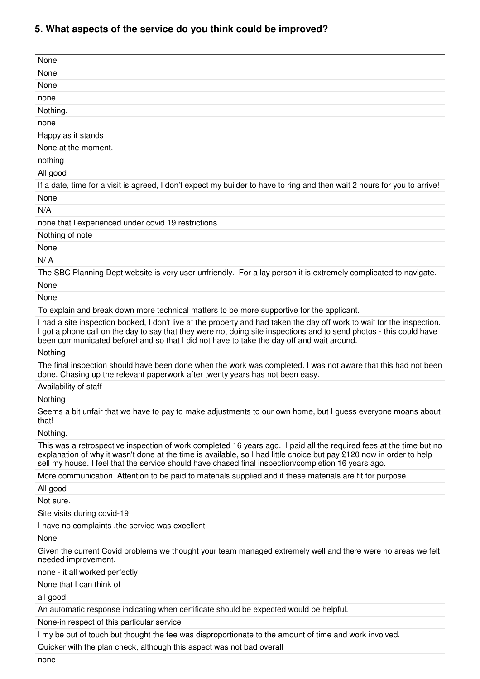# **5. What aspects of the service do you think could be improved?**

| None                                                                                                                                                                                                                                                                                                                                               |
|----------------------------------------------------------------------------------------------------------------------------------------------------------------------------------------------------------------------------------------------------------------------------------------------------------------------------------------------------|
| None                                                                                                                                                                                                                                                                                                                                               |
| None                                                                                                                                                                                                                                                                                                                                               |
| none                                                                                                                                                                                                                                                                                                                                               |
| Nothing.                                                                                                                                                                                                                                                                                                                                           |
| none                                                                                                                                                                                                                                                                                                                                               |
| Happy as it stands                                                                                                                                                                                                                                                                                                                                 |
| None at the moment.                                                                                                                                                                                                                                                                                                                                |
| nothing                                                                                                                                                                                                                                                                                                                                            |
| All good                                                                                                                                                                                                                                                                                                                                           |
| If a date, time for a visit is agreed, I don't expect my builder to have to ring and then wait 2 hours for you to arrive!                                                                                                                                                                                                                          |
| None                                                                                                                                                                                                                                                                                                                                               |
| N/A                                                                                                                                                                                                                                                                                                                                                |
| none that I experienced under covid 19 restrictions.                                                                                                                                                                                                                                                                                               |
| Nothing of note                                                                                                                                                                                                                                                                                                                                    |
| None                                                                                                                                                                                                                                                                                                                                               |
| N/A                                                                                                                                                                                                                                                                                                                                                |
| The SBC Planning Dept website is very user unfriendly. For a lay person it is extremely complicated to navigate.                                                                                                                                                                                                                                   |
| None                                                                                                                                                                                                                                                                                                                                               |
| None                                                                                                                                                                                                                                                                                                                                               |
| To explain and break down more technical matters to be more supportive for the applicant.                                                                                                                                                                                                                                                          |
| I had a site inspection booked, I don't live at the property and had taken the day off work to wait for the inspection.<br>I got a phone call on the day to say that they were not doing site inspections and to send photos - this could have<br>been communicated beforehand so that I did not have to take the day off and wait around.         |
| Nothing                                                                                                                                                                                                                                                                                                                                            |
| The final inspection should have been done when the work was completed. I was not aware that this had not been<br>done. Chasing up the relevant paperwork after twenty years has not been easy.                                                                                                                                                    |
| Availability of staff                                                                                                                                                                                                                                                                                                                              |
| Nothing                                                                                                                                                                                                                                                                                                                                            |
| Seems a bit unfair that we have to pay to make adjustments to our own home, but I guess everyone moans about<br>that!                                                                                                                                                                                                                              |
| Nothing.                                                                                                                                                                                                                                                                                                                                           |
| This was a retrospective inspection of work completed 16 years ago. I paid all the required fees at the time but no<br>explanation of why it wasn't done at the time is available, so I had little choice but pay £120 now in order to help<br>sell my house. I feel that the service should have chased final inspection/completion 16 years ago. |
| More communication. Attention to be paid to materials supplied and if these materials are fit for purpose.                                                                                                                                                                                                                                         |
| All good                                                                                                                                                                                                                                                                                                                                           |
| Not sure.                                                                                                                                                                                                                                                                                                                                          |
| Site visits during covid-19                                                                                                                                                                                                                                                                                                                        |
| I have no complaints .the service was excellent                                                                                                                                                                                                                                                                                                    |
| None                                                                                                                                                                                                                                                                                                                                               |
| Given the current Covid problems we thought your team managed extremely well and there were no areas we felt<br>needed improvement.                                                                                                                                                                                                                |
| none - it all worked perfectly                                                                                                                                                                                                                                                                                                                     |
| None that I can think of                                                                                                                                                                                                                                                                                                                           |
| all good                                                                                                                                                                                                                                                                                                                                           |
| An automatic response indicating when certificate should be expected would be helpful.                                                                                                                                                                                                                                                             |
| None-in respect of this particular service                                                                                                                                                                                                                                                                                                         |
| I my be out of touch but thought the fee was disproportionate to the amount of time and work involved.                                                                                                                                                                                                                                             |
| Quicker with the plan check, although this aspect was not bad overall                                                                                                                                                                                                                                                                              |

none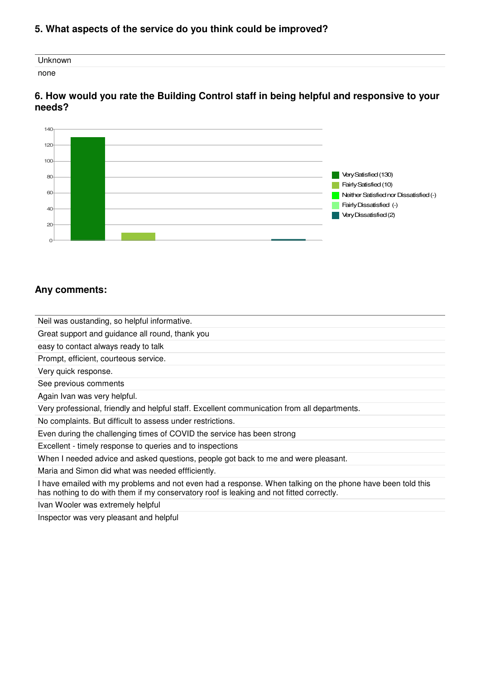#### **5. What aspects of the service do you think could be improved?**

| Unknown |  |  |
|---------|--|--|
| none    |  |  |

#### **6. How would you rate the Building Control staff in being helpful and responsive to your needs?**



#### **Any comments:**

Neil was oustanding, so helpful informative.

Great support and guidance all round, thank you

easy to contact always ready to talk

Prompt, efficient, courteous service.

Very quick response.

See previous comments

Again Ivan was very helpful.

Very professional, friendly and helpful staff. Excellent communication from all departments.

No complaints. But difficult to assess under restrictions.

Even during the challenging times of COVID the service has been strong

Excellent - timely response to queries and to inspections

When I needed advice and asked questions, people got back to me and were pleasant.

Maria and Simon did what was needed effficiently.

I have emailed with my problems and not even had a response. When talking on the phone have been told this has nothing to do with them if my conservatory roof is leaking and not fitted correctly.

Ivan Wooler was extremely helpful

Inspector was very pleasant and helpful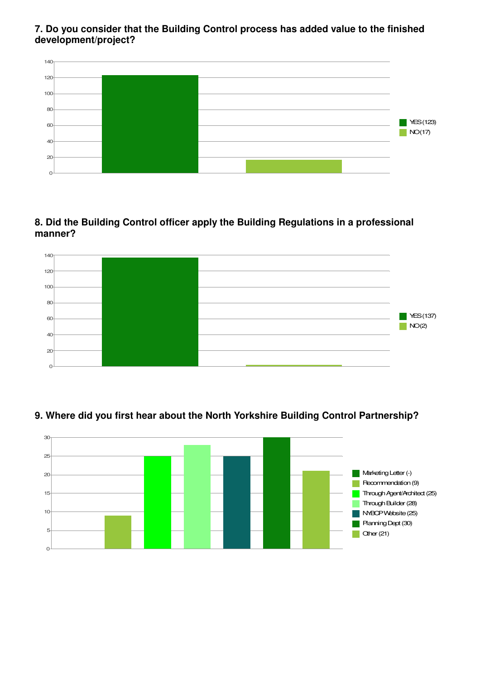**7. Do you consider that the Building Control process has added value to the finished development/project?**



**8. Did the Building Control officer apply the Building Regulations in a professional manner?**



## **9. Where did you first hear about the North Yorkshire Building Control Partnership?**

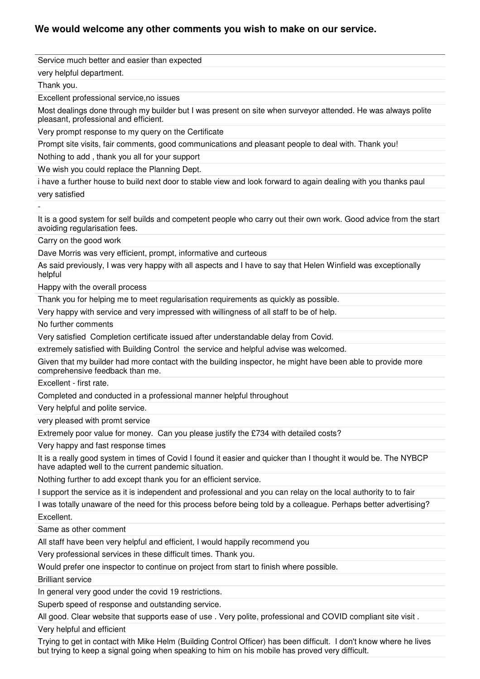#### **We would welcome any other comments you wish to make on our service.**

Service much better and easier than expected

very helpful department.

Thank you.

Excellent professional service,no issues

Most dealings done through my builder but I was present on site when surveyor attended. He was always polite pleasant, professional and efficient.

Very prompt response to my query on the Certificate

Prompt site visits, fair comments, good communications and pleasant people to deal with. Thank you!

Nothing to add , thank you all for your support

We wish you could replace the Planning Dept.

i have a further house to build next door to stable view and look forward to again dealing with you thanks paul very satisfied

-

It is a good system for self builds and competent people who carry out their own work. Good advice from the start avoiding regularisation fees.

Carry on the good work

Dave Morris was very efficient, prompt, informative and curteous

As said previously, I was very happy with all aspects and I have to say that Helen Winfield was exceptionally helpful

Happy with the overall process

Thank you for helping me to meet regularisation requirements as quickly as possible.

Very happy with service and very impressed with willingness of all staff to be of help.

No further comments

Very satisfied Completion certificate issued after understandable delay from Covid.

extremely satisfied with Building Control the service and helpful advise was welcomed.

Given that my builder had more contact with the building inspector, he might have been able to provide more comprehensive feedback than me.

Excellent - first rate.

Completed and conducted in a professional manner helpful throughout

Very helpful and polite service.

very pleased with promt service

Extremely poor value for money. Can you please justify the £734 with detailed costs?

Very happy and fast response times

It is a really good system in times of Covid I found it easier and quicker than I thought it would be. The NYBCP have adapted well to the current pandemic situation.

Nothing further to add except thank you for an efficient service.

I support the service as it is independent and professional and you can relay on the local authority to to fair

I was totally unaware of the need for this process before being told by a colleague. Perhaps better advertising?

Excellent.

Same as other comment

All staff have been very helpful and efficient, I would happily recommend you

Very professional services in these difficult times. Thank you.

Would prefer one inspector to continue on project from start to finish where possible.

Brilliant service

In general very good under the covid 19 restrictions.

Superb speed of response and outstanding service.

All good. Clear website that supports ease of use . Very polite, professional and COVID compliant site visit .

Very helpful and efficient

Trying to get in contact with Mike Helm (Building Control Officer) has been difficult. I don't know where he lives but trying to keep a signal going when speaking to him on his mobile has proved very difficult.